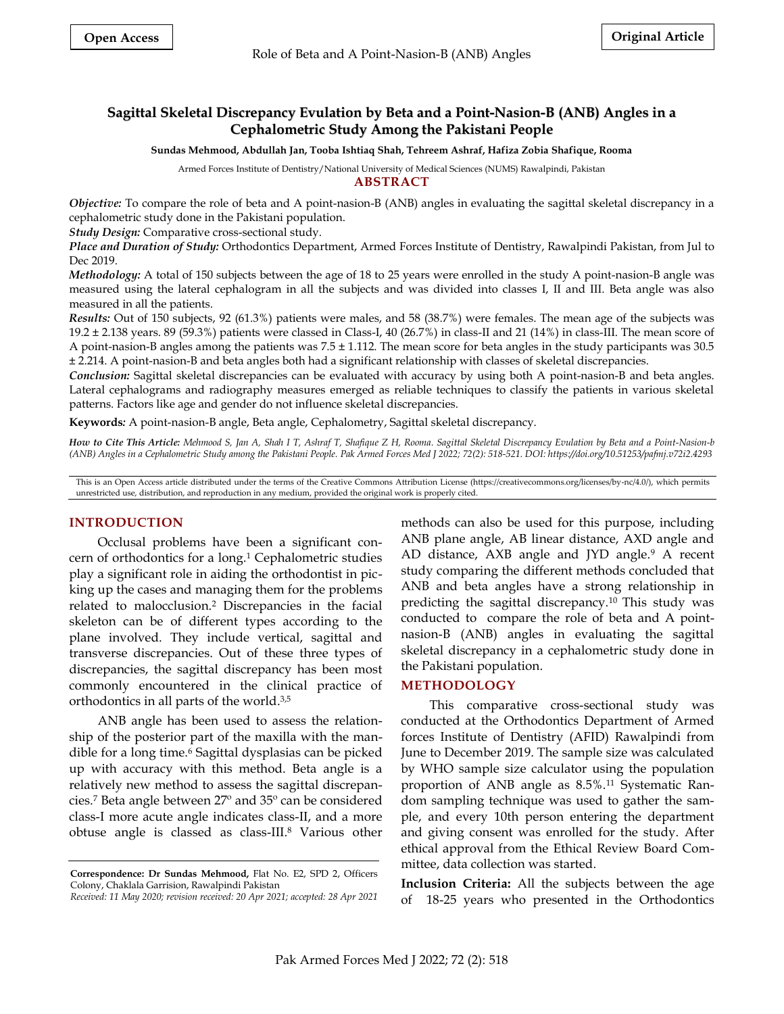# **Sagittal Skeletal Discrepancy Evulation by Beta and a Point-Nasion-B (ANB) Angles in a Cephalometric Study Among the Pakistani People**

**Sundas Mehmood, Abdullah Jan, Tooba Ishtiaq Shah, Tehreem Ashraf, Hafiza Zobia Shafique, Rooma**

Armed Forces Institute of Dentistry/National University of Medical Sciences (NUMS) Rawalpindi, Pakistan

#### **ABSTRACT**

*Objective:* To compare the role of beta and A point-nasion-B (ANB) angles in evaluating the sagittal skeletal discrepancy in a cephalometric study done in the Pakistani population.

*Study Design:* Comparative cross-sectional study.

*Place and Duration of Study:* Orthodontics Department, Armed Forces Institute of Dentistry, Rawalpindi Pakistan, from Jul to Dec 2019.

*Methodology:* A total of 150 subjects between the age of 18 to 25 years were enrolled in the study A point-nasion-B angle was measured using the lateral cephalogram in all the subjects and was divided into classes I, II and III. Beta angle was also measured in all the patients.

*Results:* Out of 150 subjects, 92 (61.3%) patients were males, and 58 (38.7%) were females. The mean age of the subjects was 19.2 ± 2.138 years. 89 (59.3%) patients were classed in Class-I, 40 (26.7%) in class-II and 21 (14%) in class-III. The mean score of A point-nasion-B angles among the patients was 7.5 ± 1.112. The mean score for beta angles in the study participants was 30.5 ± 2.214. A point-nasion-B and beta angles both had a significant relationship with classes of skeletal discrepancies.

*Conclusion:* Sagittal skeletal discrepancies can be evaluated with accuracy by using both A point-nasion-B and beta angles. Lateral cephalograms and radiography measures emerged as reliable techniques to classify the patients in various skeletal patterns. Factors like age and gender do not influence skeletal discrepancies.

**Keywords***:* A point-nasion-B angle, Beta angle, Cephalometry, Sagittal skeletal discrepancy.

*How to Cite This Article: Mehmood S, Jan A, Shah I T, Ashraf T, Shafique Z H, Rooma. Sagittal Skeletal Discrepancy Evulation by Beta and a Point-Nasion-b (ANB) Angles in a Cephalometric Study among the Pakistani People. Pak Armed Forces Med J 2022; 72(2): 518-521. DOI: https://doi.org/10.51253/pafmj.v72i2.4293*

This is an Open Access article distributed under the terms of the Creative Commons Attribution License (https://creativecommons.org/licenses/by-nc/4.0/), which permits unrestricted use, distribution, and reproduction in any medium, provided the original work is properly cited.

# **INTRODUCTION**

Occlusal problems have been a significant concern of orthodontics for a long.<sup>1</sup> Cephalometric studies play a significant role in aiding the orthodontist in picking up the cases and managing them for the problems related to malocclusion.<sup>2</sup> Discrepancies in the facial skeleton can be of different types according to the plane involved. They include vertical, sagittal and transverse discrepancies. Out of these three types of discrepancies, the sagittal discrepancy has been most commonly encountered in the clinical practice of orthodontics in all parts of the world. 3,5

ANB angle has been used to assess the relationship of the posterior part of the maxilla with the mandible for a long time.<sup>6</sup> Sagittal dysplasias can be picked up with accuracy with this method. Beta angle is a relatively new method to assess the sagittal discrepancies.<sup>7</sup> Beta angle between 27º and 35º can be considered class-I more acute angle indicates class-II, and a more obtuse angle is classed as class-III.<sup>8</sup> Various other methods can also be used for this purpose, including ANB plane angle, AB linear distance, AXD angle and AD distance, AXB angle and JYD angle.<sup>9</sup> A recent study comparing the different methods concluded that ANB and beta angles have a strong relationship in predicting the sagittal discrepancy.<sup>10</sup> This study was conducted to compare the role of beta and A pointnasion-B (ANB) angles in evaluating the sagittal skeletal discrepancy in a cephalometric study done in the Pakistani population.

### **METHODOLOGY**

This comparative cross-sectional study was conducted at the Orthodontics Department of Armed forces Institute of Dentistry (AFID) Rawalpindi from June to December 2019. The sample size was calculated by WHO sample size calculator using the population proportion of ANB angle as 8.5%.<sup>11</sup> Systematic Random sampling technique was used to gather the sample, and every 10th person entering the department and giving consent was enrolled for the study. After ethical approval from the Ethical Review Board Committee, data collection was started.

**Inclusion Criteria:** All the subjects between the age of 18-25 years who presented in the Orthodontics

**Correspondence: Dr Sundas Mehmood,** Flat No. E2, SPD 2, Officers Colony, Chaklala Garrision, Rawalpindi Pakistan

*Received: 11 May 2020; revision received: 20 Apr 2021; accepted: 28 Apr 2021*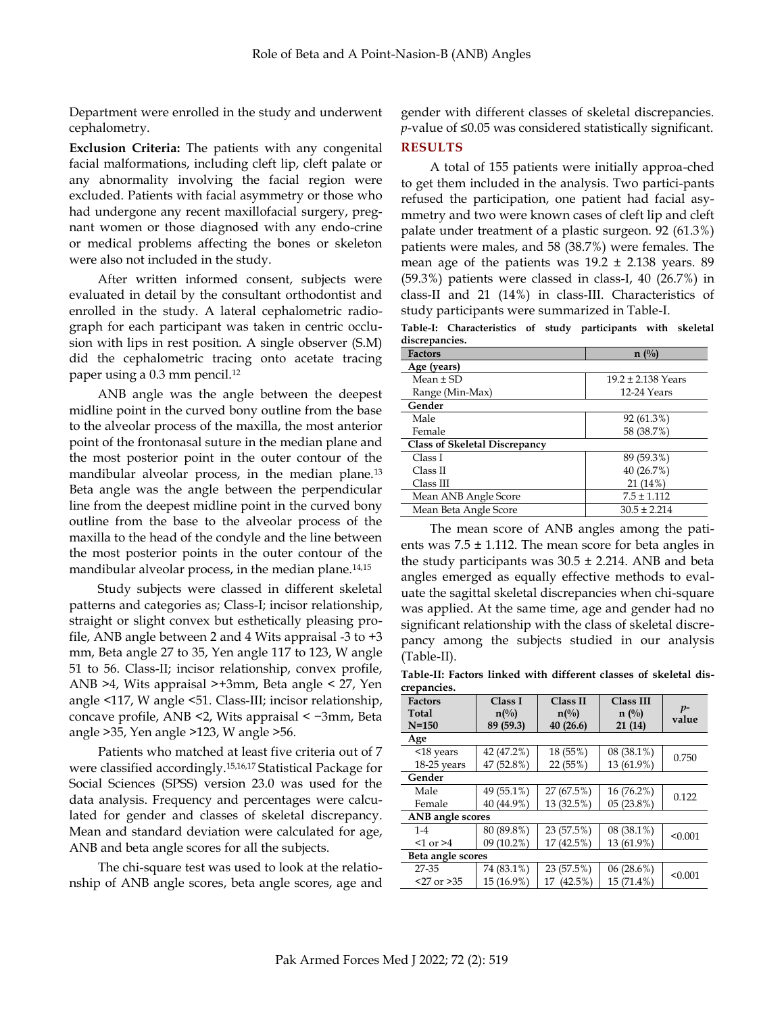Department were enrolled in the study and underwent cephalometry.

**Exclusion Criteria:** The patients with any congenital facial malformations, including cleft lip, cleft palate or any abnormality involving the facial region were excluded. Patients with facial asymmetry or those who had undergone any recent maxillofacial surgery, pregnant women or those diagnosed with any endo-crine or medical problems affecting the bones or skeleton were also not included in the study.

After written informed consent, subjects were evaluated in detail by the consultant orthodontist and enrolled in the study. A lateral cephalometric radiograph for each participant was taken in centric occlusion with lips in rest position. A single observer (S.M) did the cephalometric tracing onto acetate tracing paper using a 0.3 mm pencil.<sup>12</sup>

ANB angle was the angle between the deepest midline point in the curved bony outline from the base to the alveolar process of the maxilla, the most anterior point of the frontonasal suture in the median plane and the most posterior point in the outer contour of the mandibular alveolar process, in the median plane.<sup>13</sup> Beta angle was the angle between the perpendicular line from the deepest midline point in the curved bony outline from the base to the alveolar process of the maxilla to the head of the condyle and the line between the most posterior points in the outer contour of the mandibular alveolar process, in the median plane.14,15

Study subjects were classed in different skeletal patterns and categories as; Class-I; incisor relationship, straight or slight convex but esthetically pleasing profile, ANB angle between 2 and 4 Wits appraisal -3 to +3 mm, Beta angle 27 to 35, Yen angle 117 to 123, W angle 51 to 56. Class-II; incisor relationship, convex profile, ANB >4, Wits appraisal >+3mm, Beta angle < 27, Yen angle <117, W angle <51. Class-III; incisor relationship, concave profile, ANB <2, Wits appraisal < −3mm, Beta angle >35, Yen angle >123, W angle >56.

Patients who matched at least five criteria out of 7 were classified accordingly.15,16,17 Statistical Package for Social Sciences (SPSS) version 23.0 was used for the data analysis. Frequency and percentages were calculated for gender and classes of skeletal discrepancy. Mean and standard deviation were calculated for age, ANB and beta angle scores for all the subjects.

The chi-square test was used to look at the relationship of ANB angle scores, beta angle scores, age and

gender with different classes of skeletal discrepancies. *p*-value of ≤0.05 was considered statistically significant.

# **RESULTS**

A total of 155 patients were initially approa-ched to get them included in the analysis. Two partici-pants refused the participation, one patient had facial asymmetry and two were known cases of cleft lip and cleft palate under treatment of a plastic surgeon. 92 (61.3%) patients were males, and 58 (38.7%) were females. The mean age of the patients was  $19.2 \pm 2.138$  years. 89 (59.3%) patients were classed in class-I, 40 (26.7%) in class-II and 21 (14%) in class-III. Characteristics of study participants were summarized in Table-I.

**Table-I: Characteristics of study participants with skeletal discrepancies.**

| <b>Factors</b>                       | $n(^{0}_{0})$          |  |  |  |
|--------------------------------------|------------------------|--|--|--|
| Age (years)                          |                        |  |  |  |
| Mean $\pm$ SD                        | $19.2 \pm 2.138$ Years |  |  |  |
| Range (Min-Max)                      | 12-24 Years            |  |  |  |
| Gender                               |                        |  |  |  |
| Male                                 | 92(61.3%)              |  |  |  |
| Female                               | 58 (38.7%)             |  |  |  |
| <b>Class of Skeletal Discrepancy</b> |                        |  |  |  |
| Class I                              | 89 (59.3%)             |  |  |  |
| Class II                             | 40 (26.7%)             |  |  |  |
| Class III                            | 21(14%)                |  |  |  |
| Mean ANB Angle Score                 | $7.5 \pm 1.112$        |  |  |  |
| Mean Beta Angle Score                | $30.5 \pm 2.214$       |  |  |  |

The mean score of ANB angles among the patients was  $7.5 \pm 1.112$ . The mean score for beta angles in the study participants was  $30.5 \pm 2.214$ . ANB and beta angles emerged as equally effective methods to evaluate the sagittal skeletal discrepancies when chi-square was applied. At the same time, age and gender had no significant relationship with the class of skeletal discrepancy among the subjects studied in our analysis (Table-II).

**Table-II: Factors linked with different classes of skeletal discrepancies.**

| <b>Factors</b><br>Total<br>$N = 150$ | Class I<br>$n\binom{0}{0}$<br>89 (59.3) | Class II<br>$n\binom{0}{0}$<br>40(26.6) | Class III<br>$n(^{0}/_{0})$<br>21(14) | $p-$<br>value |
|--------------------------------------|-----------------------------------------|-----------------------------------------|---------------------------------------|---------------|
| Age                                  |                                         |                                         |                                       |               |
| $<$ 18 years                         | 42 (47.2%)                              | 18 (55%)                                | $08(38.1\%)$                          |               |
| $18-25$ years                        | 47 (52.8%)                              | 22 (55%)                                | 13 (61.9%)                            | 0.750         |
| Gender                               |                                         |                                         |                                       |               |
| Male                                 | 49 (55.1%)                              | 27 (67.5%)                              | 16 (76.2%)                            | 0.122         |
| Female                               | 40 (44.9%)                              | 13 (32.5%)                              | 05(23.8%)                             |               |
| ANB angle scores                     |                                         |                                         |                                       |               |
| $1 - 4$                              | 80 (89.8%)                              | 23 (57.5%)                              | $08(38.1\%)$                          | < 0.001       |
| $<$ 1 or $>$ 4                       | $09(10.2\%)$                            | 17 (42.5%)                              | 13 (61.9%)                            |               |
| Beta angle scores                    |                                         |                                         |                                       |               |
| 27-35                                | 74 (83.1%)                              | 23 (57.5%)                              | 06(28.6%)                             | < 0.001       |
| $27$ or $>35$                        | 15 (16.9%)                              | 17 (42.5%)                              | 15 (71.4%)                            |               |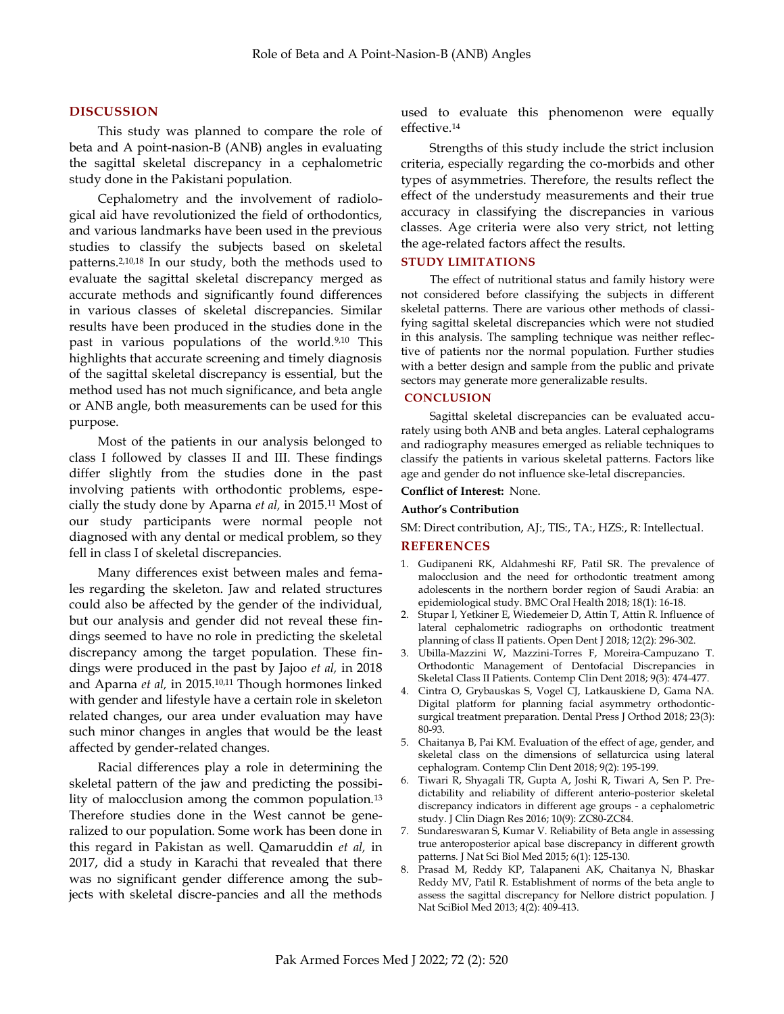## **DISCUSSION**

This study was planned to compare the role of beta and A point-nasion-B (ANB) angles in evaluating the sagittal skeletal discrepancy in a cephalometric study done in the Pakistani population.

Cephalometry and the involvement of radiological aid have revolutionized the field of orthodontics, and various landmarks have been used in the previous studies to classify the subjects based on skeletal patterns.2,10,18 In our study, both the methods used to evaluate the sagittal skeletal discrepancy merged as accurate methods and significantly found differences in various classes of skeletal discrepancies. Similar results have been produced in the studies done in the past in various populations of the world.9,10 This highlights that accurate screening and timely diagnosis of the sagittal skeletal discrepancy is essential, but the method used has not much significance, and beta angle or ANB angle, both measurements can be used for this purpose.

Most of the patients in our analysis belonged to class I followed by classes II and III. These findings differ slightly from the studies done in the past involving patients with orthodontic problems, especially the study done by Aparna *et al,* in 2015.<sup>11</sup> Most of our study participants were normal people not diagnosed with any dental or medical problem, so they fell in class I of skeletal discrepancies.

Many differences exist between males and females regarding the skeleton. Jaw and related structures could also be affected by the gender of the individual, but our analysis and gender did not reveal these findings seemed to have no role in predicting the skeletal discrepancy among the target population. These findings were produced in the past by Jajoo *et al,* in 2018 and Aparna *et al,* in 2015.10,11 Though hormones linked with gender and lifestyle have a certain role in skeleton related changes, our area under evaluation may have such minor changes in angles that would be the least affected by gender-related changes.

Racial differences play a role in determining the skeletal pattern of the jaw and predicting the possibility of malocclusion among the common population.<sup>13</sup> Therefore studies done in the West cannot be generalized to our population. Some work has been done in this regard in Pakistan as well. Qamaruddin *et al,* in 2017, did a study in Karachi that revealed that there was no significant gender difference among the subjects with skeletal discre-pancies and all the methods

used to evaluate this phenomenon were equally effective.<sup>14</sup>

Strengths of this study include the strict inclusion criteria, especially regarding the co-morbids and other types of asymmetries. Therefore, the results reflect the effect of the understudy measurements and their true accuracy in classifying the discrepancies in various classes. Age criteria were also very strict, not letting the age-related factors affect the results.

### **STUDY LIMITATIONS**

The effect of nutritional status and family history were not considered before classifying the subjects in different skeletal patterns. There are various other methods of classifying sagittal skeletal discrepancies which were not studied in this analysis. The sampling technique was neither reflective of patients nor the normal population. Further studies with a better design and sample from the public and private sectors may generate more generalizable results.

## **CONCLUSION**

Sagittal skeletal discrepancies can be evaluated accurately using both ANB and beta angles. Lateral cephalograms and radiography measures emerged as reliable techniques to classify the patients in various skeletal patterns. Factors like age and gender do not influence ske-letal discrepancies.

#### **Conflict of Interest:** None.

#### **Author's Contribution**

SM: Direct contribution, AJ:, TIS:, TA:, HZS:, R: Intellectual.

#### **REFERENCES**

- 1. Gudipaneni RK, Aldahmeshi RF, Patil SR. The prevalence of malocclusion and the need for orthodontic treatment among adolescents in the northern border region of Saudi Arabia: an epidemiological study. BMC Oral Health 2018; 18(1): 16-18.
- 2. Stupar I, Yetkiner E, Wiedemeier D, Attin T, Attin R. Influence of lateral cephalometric radiographs on orthodontic treatment planning of class II patients. Open Dent J 2018; 12(2): 296-302.
- 3. Ubilla-Mazzini W, Mazzini-Torres F, Moreira-Campuzano T. Orthodontic Management of Dentofacial Discrepancies in Skeletal Class II Patients. Contemp Clin Dent 2018; 9(3): 474-477.
- 4. Cintra O, Grybauskas S, Vogel CJ, Latkauskiene D, Gama NA. Digital platform for planning facial asymmetry orthodonticsurgical treatment preparation. Dental Press J Orthod 2018; 23(3): 80-93.
- 5. Chaitanya B, Pai KM. Evaluation of the effect of age, gender, and skeletal class on the dimensions of sellaturcica using lateral cephalogram. Contemp Clin Dent 2018; 9(2): 195-199.
- 6. Tiwari R, Shyagali TR, Gupta A, Joshi R, Tiwari A, Sen P. Predictability and reliability of different anterio-posterior skeletal discrepancy indicators in different age groups - a cephalometric study. J Clin Diagn Res 2016; 10(9): ZC80-ZC84.
- 7. Sundareswaran S, Kumar V. Reliability of Beta angle in assessing true anteroposterior apical base discrepancy in different growth patterns. J Nat Sci Biol Med 2015; 6(1): 125-130.
- 8. Prasad M, Reddy KP, Talapaneni AK, Chaitanya N, Bhaskar Reddy MV, Patil R. Establishment of norms of the beta angle to assess the sagittal discrepancy for Nellore district population. J Nat SciBiol Med 2013; 4(2): 409-413.